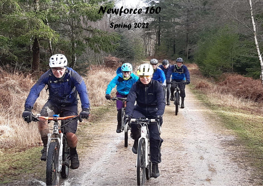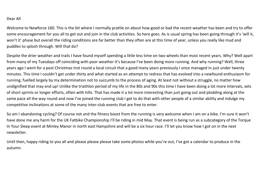## Dear All

Welcome to Newforce 160. This is the bit where I normally prattle on about how good or bad the recent weather has been and try to offer some encouragement for you all to get out and join in the club activities. So here goes. As is usual spring has been going through it's 'will it, won't it' phase but overall the riding conditions are far better than they often are at this time of year, unless you really like mud and puddles to splosh through. Will that do?

Despite the drier weather and trails I have found myself spending a little less time on two wheels than most recent years. Why? Well apart from many of my Tuesdays off coinciding with poor weather it's because I've been doing more running. And why running? Well, three years ago I went for a post Christmas trot round a local circuit that a good many years previously I once managed in just under twenty minutes. This time I couldn't get under *thirty* and what started as an attempt to redress that has evolved into a newfound enthusiasm for running, fuelled largely by my determination not to succumb to the process of aging. At least not without a struggle, no matter how undignified that may end up! Unlike the triathlon period of my life in the 80s and 90s this time I have been doing a lot more intervals, sets of short sprints or longer efforts, often with hills. That has made it a lot more interesting than just going out and plodding along at the same pace all the way round and now I've joined the running club I get to do that with other people of a similar ability and indulge my competitive inclinations at some of the many inter-club events that are free to enter.

So am I abandoning cycling? Of course not and the fitness boost from the running is very welcome when I am on a bike. I'm sure it won't have done me any harm for the UK Fatbike Championship I'll be riding in mid May. That event is being run as a subcategory of the Torque In Your Sleep event at Minley Manor in north east Hampshire and will be a six hour race. I'll let you know how I got on in the next newsletter.

Until then, happy riding to you all and please please please take some photos while you're out, I've got a calendar to produce in the autumn.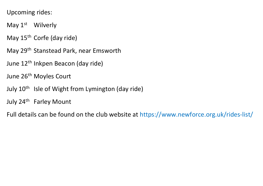Upcoming rides:

- May 1<sup>st</sup> Wilverly
- May 15<sup>th</sup> Corfe (day ride)
- May 29th Stanstead Park, near Emsworth
- June 12th Inkpen Beacon (day ride)
- June 26<sup>th</sup> Moyles Court
- July 10<sup>th</sup> Isle of Wight from Lymington (day ride)
- July 24<sup>th</sup> Farley Mount

Full details can be found on the club website at https://www.newforce.org.uk/rides-list/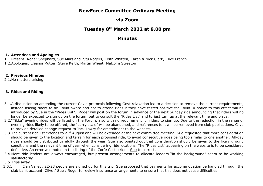# **NewForce Committee Ordinary Meeting**

# **via Zoom**

# **Tuesday 8th March 2022 at 8.00 pm**

# **Minutes**

### **1. Attendees and Apologies**

1.1.Present: Roger Shephard, Sue Marsland, Stu Rogers, Keith Whitten, Karen & Nick Clark, Clive French 1.2.Apologies: Eleanor Rutter, Steve Keith, Martin Wheat, Malcolm Streeton

#### **2. Previous Minutes**

2.1.No matters arising

## **3. Rides and Riding**

- 3.1.A discussion on amending the current Covid protocols following Govt relaxation led to a decision to remove the current requirements, instead asking riders to be Covid-aware and not to attend rides if they have tested positive for Covid. A notice to this effect will be introduced by Sue in the "Rides List". Roger will post on the forum in advance of the next Sunday ride announcing that riders will no longer be expected to sign up on the forum, but to consult the "Rides List" and to just turn up at the relevant time and place.
- 3.2."Tikka" evening rides will be listed on the Forum, also with no requirement for riders to sign up. Due to the reduction in the range of evening rides likely to be offered, the "curry scale" will be abandoned, and references to it will be removed from club publications. Clive to provide detailed change request to Jack Lawry for amendment to the website.
- 3.3. The current ride list extends to 21<sup>st</sup> August and will be extended at the next committee meeting. Sue requested that more consideration should be given to the location and terrain for each proposed ride, to avoid consecutive rides being too similar to one another. All-day rides should be distributed carefully through the year. Sue also pointed out that consideration should be given to the likely ground conditions and the relevant time of year when considering ride locations. The "Rides List" appearing on the website is to be considered definitive. An error was noted in the listing of the Corfe Castle ride. Sue to correct.
- 3.4.More ride leaders are always encouraged, but present arrangements to allocate leaders "in the background" seem to be working satisfactorily.
- 3.5.Trips away
- 3.5.1. Elan Valley: 22-23 people are signed up for this trip. Sue proposed that payments for accommodation be handled through the club bank account. Clive / Sue / Roger to review insurance arrangements to ensure that this does not cause difficulties.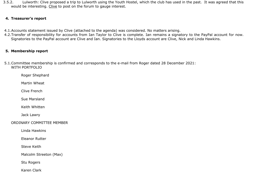3.5.2. Lulworth: Clive proposed a trip to Lulworth using the Youth Hostel, which the club has used in the past. It was agreed that this would be interesting. Clive to post on the forum to gauge interest.

## **4. Treasurer's report**

- 4.1.Accounts statement issued by Clive (attached to the agenda) was considered. No matters arising.
- 4.2.Transfer of responsibility for accounts from Ian Taylor to Clive is complete. Ian remains a signatory to the PayPal account for now. Signatories to the PayPal account are Clive and Ian. Signatories to the Lloyds account are Clive, Nick and Linda Hawkins.

## **5. Membership report**

5.1.Committee membership is confirmed and corresponds to the e-mail from Roger dated 28 December 2021: WITH PORTFOLIO

Roger Shephard

Martin Wheat

Clive French

Sue Marsland

Keith Whitten

Jack Lawry

ORDINARY COMMITTEE MEMBER

Linda Hawkins

Eleanor Rutter

Steve Keith

Malcolm Streeton (Max)

Stu Rogers

Karen Clark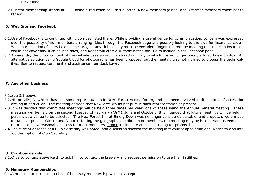#### Nick Clark

5.2.Current membership stands at 113, being a reduction of 5 this quarter. 4 new members joined, and 9 former members chose not to renew.

## **6. Web Site and Facebook**

- 6.1.Use of Facebook is to continue, with club rides listed there. While providing a useful venue for communication, concern was expressed over the possibility of non-members arranging rides through the Facebook page and possibly looking to the club for insurance cover. While participation of users is to be encouraged, any club liability must be excluded. Roger assured the meeting that the club insurance would not cover any such ad-hoc rides, and Roger will craft a suitable notice for Sue to include in the Facebook page.
- 6.2.Apparently, the photo content of the website uses an archive stored on Flikr, to which it is no longer possible to add new photos. An alternative solution using Google Cloud for photographs has been proposed, but the meeting was not inclined to discuss the technicalities. Sue to request comment and assistance from Jack Lawry.

## **7. Any other business**

## 7.1.See 3.1 above

- 7.2.Historically, NewForce has had some representation in New Forest Access forum, and has been involved in discussions of access for cycling in particular. The meeting decided that NewForce would not pursue such representation at present.
- 7.3.It was decided that committee meetings will be held three times per year, one of these being the Annual General Meeting. These meetings will be held on the second Tuesday of February (AGM), June and October. It is intended that future meetings will be held in person, at a venue to be selected. The New Forest Inn at Emery Down was no longer considered suitable, and proposals were made for familiar pubs in Winsor and Ashurst. Noting the geographic distribution of members, the meeting may be held at various venues in rotation to allow reasonable access for most members. Roger to circulate an e-mail asking for proposals.
- 7.4.The current absence of a Club Secretary was noted, and discussion showed the meeting in favour of appointing one. Roger to circulate job description of Club Secretary.

## **8. Cranbourne ride**

8.1.Clive to contact Steve Keith to ask him to contact the brewery and request permission to use their facilities.

## **9. Honorary Memberships**

9.1.A proposal to introduce a class of honorary membership was not accepted.